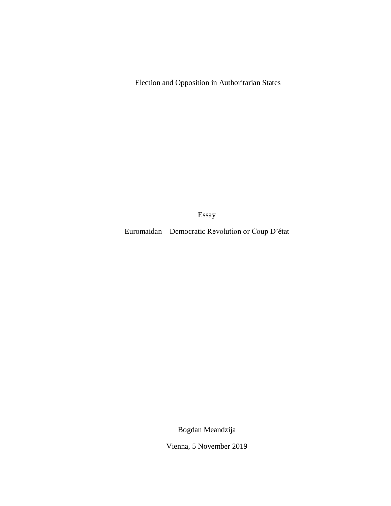Election and Opposition in Authoritarian States

Essay

Euromaidan – Democratic Revolution or Coup D"état

Bogdan Meandzija

Vienna, 5 November 2019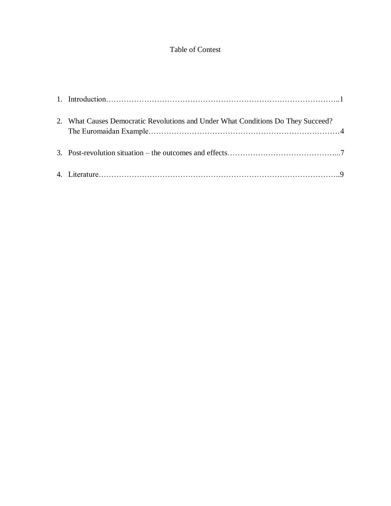# Table of Contest

| 2. What Causes Democratic Revolutions and Under What Conditions Do They Succeed? |  |
|----------------------------------------------------------------------------------|--|
|                                                                                  |  |
|                                                                                  |  |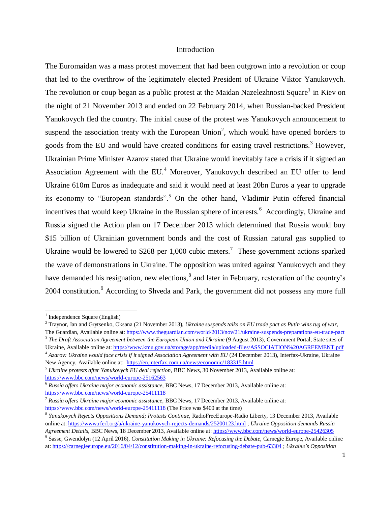## Introduction

The Euromaidan was a mass protest movement that had been outgrown into a revolution or coup that led to the overthrow of the legitimately elected President of Ukraine Viktor Yanukovych. The revolution or coup began as a public protest at the Maidan Nazelezhnosti Square<sup>1</sup> in Kiev on the night of 21 November 2013 and ended on 22 February 2014, when Russian-backed President Yanukovych fled the country. The initial cause of the protest was Yanukovych announcement to suspend the association treaty with the European Union<sup>2</sup>, which would have opened borders to goods from the EU and would have created conditions for easing travel restrictions.<sup>3</sup> However, Ukrainian Prime Minister Azarov stated that Ukraine would inevitably face a crisis if it signed an Association Agreement with the EU.<sup>4</sup> Moreover, Yanukovych described an EU offer to lend Ukraine 610m Euros as inadequate and said it would need at least 20bn Euros a year to upgrade its economy to "European standards".<sup>5</sup> On the other hand, Vladimir Putin offered financial incentives that would keep Ukraine in the Russian sphere of interests.<sup>6</sup> Accordingly, Ukraine and Russia signed the Action plan on 17 December 2013 which determined that Russia would buy \$15 billion of Ukrainian government bonds and the cost of Russian natural gas supplied to Ukraine would be lowered to \$268 per 1,000 cubic meters.<sup>7</sup> These government actions sparked the wave of demonstrations in Ukraine. The opposition was united against Yanukovych and they have demanded his resignation, new elections, <sup>8</sup> and later in February, restoration of the country's 2004 constitution.<sup>9</sup> According to Shveda and Park, the government did not possess any more full

 $\ddot{\phantom{a}}$ 

<sup>&</sup>lt;sup>1</sup> Independence Square (English)

<sup>2</sup> Traynor, Ian and Grytsenko, Oksana (21 November 2013), *Ukraine suspends talks on EU trade pact as Putin wins tug of war*, The Guardian, Available online at[: https://www.theguardian.com/world/2013/nov/21/ukraine-suspends-preparations-eu-trade-pact](https://www.theguardian.com/world/2013/nov/21/ukraine-suspends-preparations-eu-trade-pact)

<sup>3</sup> *The Draft Association Agreement between the European Union and Ukraine* (9 August 2013), Government Portal, State sites of Ukraine, Available online at[: https://www.kmu.gov.ua/storage/app/media/uploaded-files/ASSOCIATION%20AGREEMENT.pdf](https://www.kmu.gov.ua/storage/app/media/uploaded-files/ASSOCIATION%20AGREEMENT.pdf)

<sup>4</sup> *Azarov: Ukraine would face crisis if it signed Association Agreement with EU* (24 December 2013), Interfax-Ukraine, Ukraine New Agency, Available online at: <https://en.interfax.com.ua/news/economic/183315.html>

<sup>5</sup> *Ukraine protests after Yanukovych EU deal rejection*, BBC News, 30 November 2013, Available online at: <https://www.bbc.com/news/world-europe-25162563>

<sup>6</sup> *Russia offers Ukraine major economic assistance,* BBC News, 17 December 2013, Available online at: <https://www.bbc.com/news/world-europe-25411118>

<sup>7</sup> *Russia offers Ukraine major economic assistance,* BBC News, 17 December 2013, Available online at: <https://www.bbc.com/news/world-europe-25411118> (The Price was \$400 at the time)

<sup>8</sup> *Yanukovych Rejects Oppositions Demand; Protests Continue,* RadioFreeEurope-Radio Liberty, 13 December 2013, Available online at:<https://www.rferl.org/a/ukraine-yanukovych-rejects-demands/25200123.html> ; *Ukraine Opposition demands Russia Agreement Details*, BBC News, 18 December 2013, Available online at:<https://www.bbc.com/news/world-europe-25426305>

<sup>9</sup> Sasse, Gwendolyn (12 April 2016), *Constitution Making in Ukraine: Refocusing the Debate,* Carnegie Europe, Available online at[: https://carnegieeurope.eu/2016/04/12/constitution-making-in-ukraine-refocusing-debate-pub-63304](https://carnegieeurope.eu/2016/04/12/constitution-making-in-ukraine-refocusing-debate-pub-63304) ; *Ukraine"s Opposition*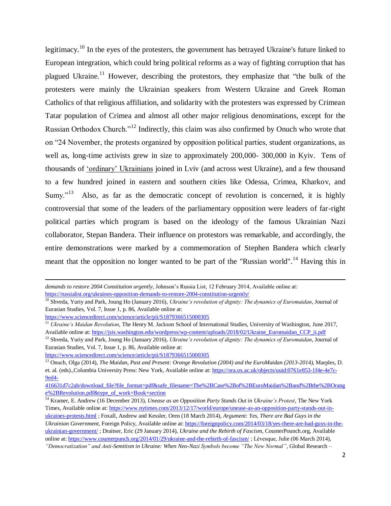legitimacy.<sup>10</sup> In the eyes of the protesters, the government has betrayed Ukraine's future linked to European integration, which could bring political reforms as a way of fighting corruption that has plagued Ukraine.<sup>11</sup> However, describing the protestors, they emphasize that "the bulk of the protesters were mainly the Ukrainian speakers from Western Ukraine and Greek Roman Catholics of that religious affiliation, and solidarity with the protesters was expressed by Crimean Tatar population of Crimea and almost all other major religious denominations, except for the Russian Orthodox Church."<sup>12</sup> Indirectly, this claim was also confirmed by Onuch who wrote that on "24 November, the protests organized by opposition political parties, student organizations, as well as, long-time activists grew in size to approximately 200,000- 300,000 in Kyiv. Tens of thousands of "ordinary" Ukrainians joined in Lviv (and across west Ukraine), and a few thousand to a few hundred joined in eastern and southern cities like Odessa, Crimea, Kharkov, and Sumy."<sup>13</sup> Also, as far as the democratic concept of revolution is concerned, it is highly controversial that some of the leaders of the parliamentary opposition were leaders of far-right political parties which program is based on the ideology of the famous Ukrainian Nazi collaborator, Stepan Bandera. Their influence on protestors was remarkable, and accordingly, the entire demonstrations were marked by a commemoration of Stephen Bandera which clearly meant that the opposition no longer wanted to be part of the "Russian world".<sup>14</sup> Having this in

<https://www.sciencedirect.com/science/article/pii/S1879366515000305>

-

<https://www.sciencedirect.com/science/article/pii/S1879366515000305>

*demands to restore 2004 Constitution urgently*, Johnson"s Russia List, 12 February 2014, Available online at: <https://russialist.org/ukraines-opposition-demands-to-restore-2004-constitution-urgently/>

<sup>10</sup> Shveda, Yuriy and Park, Joung Ho (January 2016), *Ukraine"s revolution of dignity: The dynamics of Euromaidan*, Journal of Eurasian Studies, Vol. 7, Issue 1, p. 86, Available online at:

<sup>11</sup> *Ukraine"s Maidan Revolution*, The Henry M. Jackson School of International Studies, University of Washington, June 2017, Available online at: [https://jsis.washington.edu/wordpress/wp-content/uploads/2018/02/Ukraine\\_Euromaidan\\_CCP\\_ii.pdf](https://jsis.washington.edu/wordpress/wp-content/uploads/2018/02/Ukraine_Euromaidan_CCP_ii.pdf)

<sup>12</sup> Shveda, Yuriy and Park, Joung Ho (January 2016), *Ukraine"s revolution of dignity: The dynamics of Euromaidan*, Journal of Eurasian Studies, Vol. 7, Issue 1, p. 86, Available online at:

<sup>13</sup> Onuch, Olga (2014), *The Maidan, Past and Present: Orange Revolution (2004) and the EuroMaidan (2013-2014)*, Marples, D. et. al. (eds).,Columbia University Press: New York, Available online at[: https://ora.ox.ac.uk/objects/uuid:0761e853-1f4e-4e7c-](https://ora.ox.ac.uk/objects/uuid:0761e853-1f4e-4e7c-9ed4-416631d7c2ab/download_file?file_format=pdf&safe_filename=The%2BCase%2Bof%2BEuroMaidan%2Band%2Bthe%2BOrange%2BRevolution.pdf&type_of_work=Book+section)[9ed4-](https://ora.ox.ac.uk/objects/uuid:0761e853-1f4e-4e7c-9ed4-416631d7c2ab/download_file?file_format=pdf&safe_filename=The%2BCase%2Bof%2BEuroMaidan%2Band%2Bthe%2BOrange%2BRevolution.pdf&type_of_work=Book+section)

[<sup>416631</sup>d7c2ab/download\\_file?file\\_format=pdf&safe\\_filename=The%2BCase%2Bof%2BEuroMaidan%2Band%2Bthe%2BOrang](https://ora.ox.ac.uk/objects/uuid:0761e853-1f4e-4e7c-9ed4-416631d7c2ab/download_file?file_format=pdf&safe_filename=The%2BCase%2Bof%2BEuroMaidan%2Band%2Bthe%2BOrange%2BRevolution.pdf&type_of_work=Book+section) [e%2BRevolution.pdf&type\\_of\\_work=Book+section](https://ora.ox.ac.uk/objects/uuid:0761e853-1f4e-4e7c-9ed4-416631d7c2ab/download_file?file_format=pdf&safe_filename=The%2BCase%2Bof%2BEuroMaidan%2Band%2Bthe%2BOrange%2BRevolution.pdf&type_of_work=Book+section)

<sup>&</sup>lt;sup>14</sup> Kramer, E. Andrew (16 December 2013), *Unease as an Opposition Party Stands Out in Ukraine's Protest*, The New York Times, Available online at: [https://www.nytimes.com/2013/12/17/world/europe/unease-as-an-opposition-party-stands-out-in](https://www.nytimes.com/2013/12/17/world/europe/unease-as-an-opposition-party-stands-out-in-ukraines-protests.html)[ukraines-protests.html](https://www.nytimes.com/2013/12/17/world/europe/unease-as-an-opposition-party-stands-out-in-ukraines-protests.html) ; Foxall, Andrew and Kessler, Oren (18 March 2014), *Argument: Yes, There are Bad Guys in the Ukrainian Government*, Foreign Policy, Available online at: [https://foreignpolicy.com/2014/03/18/yes-there-are-bad-guys-in-the](https://foreignpolicy.com/2014/03/18/yes-there-are-bad-guys-in-the-ukrainian-government/)[ukrainian-government/](https://foreignpolicy.com/2014/03/18/yes-there-are-bad-guys-in-the-ukrainian-government/) ; Draitser, Eric (29 January 2014), *Ukraine and the Rebirth of Fascism*, CounterPounch.org, Available online at:<https://www.counterpunch.org/2014/01/29/ukraine-and-the-rebirth-of-fascism/> ; Lévesque, Julie (06 March 2014), *"Democratization" and Anti-Semitism in Ukraine: When Neo-Nazi Symbols become "The New Normal"*, Global Research –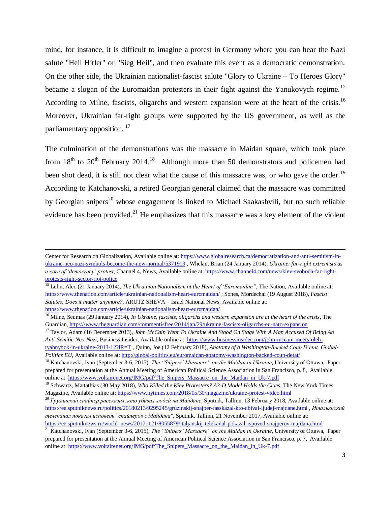mind, for instance, it is difficult to imagine a protest in Germany where you can hear the Nazi salute "Heil Hitler" or "Sieg Heil", and then evaluate this event as a democratic demonstration. On the other side, the Ukrainian nationalist-fascist salute "Glory to Ukraine – To Heroes Glory" became a slogan of the Euromaidan protesters in their fight against the Yanukovych regime.<sup>15</sup> According to Milne, fascists, oligarchs and western expansion were at the heart of the crisis.<sup>16</sup> Moreover, Ukrainian far-right groups were supported by the US government, as well as the parliamentary opposition. <sup>17</sup>

The culmination of the demonstrations was the massacre in Maidan square, which took place from  $18<sup>th</sup>$  to  $20<sup>th</sup>$  February 2014.<sup>18</sup> Although more than 50 demonstrators and policemen had been shot dead, it is still not clear what the cause of this massacre was, or who gave the order.<sup>19</sup> According to Katchanovski, a retired Georgian general claimed that the massacre was committed by Georgian snipers<sup>20</sup> whose engagement is linked to Michael Saakashvili, but no such reliable evidence has been provided.<sup>21</sup> He emphasizes that this massacre was a key element of the violent

**.** 

Center for Research on Globalization, Available online at: [https://www.globalresearch.ca/democratization-and-anti-semitism-in](https://www.globalresearch.ca/democratization-and-anti-semitism-in-ukraine-neo-nazi-symbols-become-the-new-normal/5371919)[ukraine-neo-nazi-symbols-become-the-new-normal/5371919](https://www.globalresearch.ca/democratization-and-anti-semitism-in-ukraine-neo-nazi-symbols-become-the-new-normal/5371919) , Whelan, Brian (24 January 2014), *Ukraine: far-right extremists as a core of "democracy" protest*, Channel 4, News, Available online at: [https://www.channel4.com/news/kiev-svoboda-far-right](https://www.channel4.com/news/kiev-svoboda-far-right-protests-right-sector-riot-police)[protests-right-sector-riot-police](https://www.channel4.com/news/kiev-svoboda-far-right-protests-right-sector-riot-police)

<sup>&</sup>lt;sup>15</sup> Luhn, Alec (21 January 2014), *The Ukrainian Nationalism at the Heart of 'Euromaidan''*, The Nation, Available online at: <https://www.thenation.com/article/ukrainian-nationalism-heart-euromaidan/> ; Sones, Mordechai (19 August 2018), *Fascist Salutes: Does it matter anymore?*, ARUTZ SHEVA – Israel National News, Available online at: <https://www.thenation.com/article/ukrainian-nationalism-heart-euromaidan/>

<sup>16</sup> Milne, Seumas (29 January 2014), *In Ukraine, fascists, oligarchs and western expansion are at the heart of the crisis*, The Guardian,<https://www.theguardian.com/commentisfree/2014/jan/29/ukraine-fascists-oligarchs-eu-nato-expansion>

<sup>17</sup> Taylor, Adam (16 December 2013), *John McCain Went To Ukraine And Stood On Stage With A Man Accused Of Being An Anti-Semitic Neo-Nazi*, Business Insider, Available online at[: https://www.businessinsider.com/john-mccain-meets-oleh](https://www.businessinsider.com/john-mccain-meets-oleh-tyahnybok-in-ukraine-2013-12?IR=T)[tyahnybok-in-ukraine-2013-12?IR=T](https://www.businessinsider.com/john-mccain-meets-oleh-tyahnybok-in-ukraine-2013-12?IR=T) , Quinn, Joe (12 February 2018), *Anatomy of a Washington-Backed Coup D"état, Global-Politics EU*, Available online at[: http://global-politics.eu/euromaidan-anatomy-washington-backed-coup-detat/](http://global-politics.eu/euromaidan-anatomy-washington-backed-coup-detat/)

<sup>&</sup>lt;sup>18</sup> Katchanovski, Ivan (September 3-6, 2015), *The "Snipers' Massacre" on the Maidan in Ukraine*, University of Ottawa, Paper prepared for presentation at the Annual Meeting of American Political Science Association in San Francisco, p. 8, Available online at: [https://www.voltairenet.org/IMG/pdf/The\\_Snipers\\_Massacre\\_on\\_the\\_Maidan\\_in\\_Uk-7.pdf](https://www.voltairenet.org/IMG/pdf/The_Snipers_Massacre_on_the_Maidan_in_Uk-7.pdf)

<sup>19</sup> Schwartz, Mattathias (30 May 2018), *Who Killed the Kiev Protesters? A3-D Model Holds the Clues*, The New York Times Magazine, Available online at:<https://www.nytimes.com/2018/05/30/magazine/ukraine-protest-video.html>

<sup>20</sup> *Грузинский снайпер рассказал, кто убивал людей на Майдане*, Sputnik, Tallinn, 13 February 2018, Available online at: <https://ee.sputniknews.ru/politics/20180213/9295245/gruzinskij-snajper-rasskazal-kto-ubival-ljudej-majdane.html> *, Итальянский телеканал показал исповедь "снайперов с Майдана"*, Sputnik, Tallinn, 21 November 2017, Available online at: https://ee.sputniknews.ru/world\_news/20171121/8055879/italianskij-telekanal-pokazal-ispoved-snajperov-majdana.html

<sup>21</sup> Katchanovski, Ivan (September 3-6, 2015), *The "Snipers" Massacre" on the Maidan in Ukraine*, University of Ottawa, Paper prepared for presentation at the Annual Meeting of American Political Science Association in San Francisco, p. 7, Available online at: [https://www.voltairenet.org/IMG/pdf/The\\_Snipers\\_Massacre\\_on\\_the\\_Maidan\\_in\\_Uk-7.pdf](https://www.voltairenet.org/IMG/pdf/The_Snipers_Massacre_on_the_Maidan_in_Uk-7.pdf)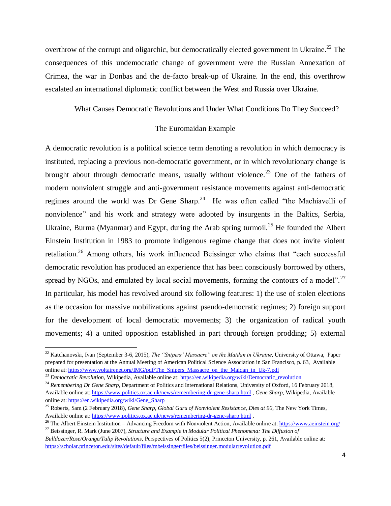overthrow of the corrupt and oligarchic, but democratically elected government in Ukraine.<sup>22</sup> The consequences of this undemocratic change of government were the Russian Annexation of Crimea, the war in Donbas and the de-facto break-up of Ukraine. In the end, this overthrow escalated an international diplomatic conflict between the West and Russia over Ukraine.

What Causes Democratic Revolutions and Under What Conditions Do They Succeed?

### The Euromaidan Example

A democratic revolution is a political science term denoting a revolution in which democracy is instituted, replacing a previous non-democratic government, or in which revolutionary change is brought about through democratic means, usually without violence.<sup>23</sup> One of the fathers of modern nonviolent struggle and anti-government resistance movements against anti-democratic regimes around the world was Dr Gene Sharp.<sup>24</sup> He was often called "the Machiavelli of nonviolence" and his work and strategy were adopted by insurgents in the Baltics, Serbia, Ukraine, Burma (Myanmar) and Egypt, during the Arab spring turmoil.<sup>25</sup> He founded the Albert Einstein Institution in 1983 to promote indigenous regime change that does not invite violent retaliation.<sup>26</sup> Among others, his work influenced Beissinger who claims that "each successful democratic revolution has produced an experience that has been consciously borrowed by others, spread by NGOs, and emulated by local social movements, forming the contours of a model".<sup>27</sup> In particular, his model has revolved around six following features: 1) the use of stolen elections as the occasion for massive mobilizations against pseudo-democratic regimes; 2) foreign support for the development of local democratic movements; 3) the organization of radical youth movements; 4) a united opposition established in part through foreign prodding; 5) external

 $\overline{a}$ 

<sup>22</sup> Katchanovski, Ivan (September 3-6, 2015), *The "Snipers" Massacre" on the Maidan in Ukraine*, University of Ottawa, Paper prepared for presentation at the Annual Meeting of American Political Science Association in San Francisco, p. 63, Available online at: [https://www.voltairenet.org/IMG/pdf/The\\_Snipers\\_Massacre\\_on\\_the\\_Maidan\\_in\\_Uk-7.pdf](https://www.voltairenet.org/IMG/pdf/The_Snipers_Massacre_on_the_Maidan_in_Uk-7.pdf)

<sup>&</sup>lt;sup>23</sup> *Democratic Revolution*, Wikipedia, Available online at[: https://en.wikipedia.org/wiki/Democratic\\_revolution](https://en.wikipedia.org/wiki/Democratic_revolution)

<sup>&</sup>lt;sup>24</sup> Remembering Dr Gene Sharp, Department of Politics and International Relations, University of Oxford, 16 February 2018, Available online at:<https://www.politics.ox.ac.uk/news/remembering-dr-gene-sharp.html> , *Gene Sharp*, Wikipedia, Available online at: [https://en.wikipedia.org/wiki/Gene\\_Sharp](https://en.wikipedia.org/wiki/Gene_Sharp)

<sup>25</sup> Roberts, Sam (2 February 2018), *Gene Sharp, Global Guru of Nonviolent Resistance, Dies at 90*, The New York Times, Available online at:<https://www.politics.ox.ac.uk/news/remembering-dr-gene-sharp.html>,

<sup>&</sup>lt;sup>26</sup> The Albert Einstein Institution – Advancing Freedom with Nonviolent Action, Available online at:  $\frac{https://www.aeinstein.org/}{https://www.aeinstein.org/})}$ <sup>27</sup> Beissinger, R. Mark (June 2007), *Structure and Example in Modular Political Phenomena: The Diffusion of* 

*Bulldozer/Rose/Orange/Tulip Revolutions*, Perspectives of Politics 5(2), Princeton University, p. 261, Available online at: <https://scholar.princeton.edu/sites/default/files/mbeissinger/files/beissinger.modularrevolution.pdf>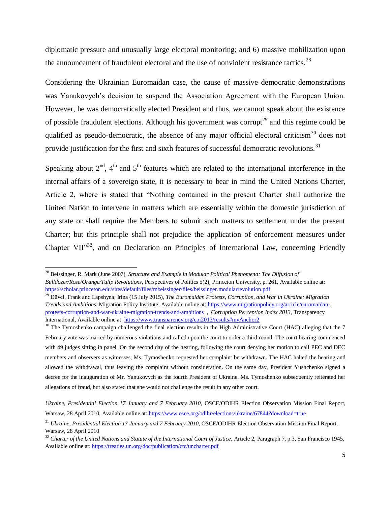diplomatic pressure and unusually large electoral monitoring; and 6) massive mobilization upon the announcement of fraudulent electoral and the use of nonviolent resistance tactics.<sup>28</sup>

Considering the Ukrainian Euromaidan case, the cause of massive democratic demonstrations was Yanukovych's decision to suspend the Association Agreement with the European Union. However, he was democratically elected President and thus, we cannot speak about the existence of possible fraudulent elections. Although his government was corrupt<sup>29</sup> and this regime could be qualified as pseudo-democratic, the absence of any major official electoral criticism<sup>30</sup> does not provide justification for the first and sixth features of successful democratic revolutions.<sup>31</sup>

Speaking about  $2<sup>nd</sup>$ ,  $4<sup>th</sup>$  and  $5<sup>th</sup>$  features which are related to the international interference in the internal affairs of a sovereign state, it is necessary to bear in mind the United Nations Charter, Article 2, where is stated that "Nothing contained in the present Charter shall authorize the United Nation to intervene in matters which are essentially within the domestic jurisdiction of any state or shall require the Members to submit such matters to settlement under the present Charter; but this principle shall not prejudice the application of enforcement measures under Chapter VII"<sup>32</sup>, and on Declaration on Principles of International Law, concerning Friendly

 $\overline{a}$ 

<sup>&</sup>lt;sup>28</sup> Beissinger, R. Mark (June 2007), *Structure and Example in Modular Political Phenomena: The Diffusion of Bulldozer/Rose/Orange/Tulip Revolutions*, Perspectives of Politics 5(2), Princeton University, p. 261, Available online at: <https://scholar.princeton.edu/sites/default/files/mbeissinger/files/beissinger.modularrevolution.pdf>

<sup>29</sup> Düvel, Frank and Lapshyna, Irina (15 July 2015), *The Euromaidan Protests, Corruption, and War in Ukraine: Migration Trends and Ambitions*, Migration Policy Institute, Available online at[: https://www.migrationpolicy.org/article/euromaidan](https://www.migrationpolicy.org/article/euromaidan-protests-corruption-and-war-ukraine-migration-trends-and-ambitions)[protests-corruption-and-war-ukraine-migration-trends-and-ambitions](https://www.migrationpolicy.org/article/euromaidan-protests-corruption-and-war-ukraine-migration-trends-and-ambitions) , *Corruption Perception Index 2013*, Transparency International, Available online at[: https://www.transparency.org/cpi2013/results#myAnchor2](https://www.transparency.org/cpi2013/results#myAnchor2)

<sup>&</sup>lt;sup>30</sup> The Tymoshenko campaign challenged the final election results in the High Administrative Court (HAC) alleging that the 7 February vote was marred by numerous violations and called upon the court to order a third round. The court hearing commenced with 49 judges sitting in panel. On the second day of the hearing, following the court denying her motion to call PEC and DEC members and observers as witnesses, Ms. Tymoshenko requested her complaint be withdrawn. The HAC halted the hearing and allowed the withdrawal, thus leaving the complaint without consideration. On the same day, President Yushchenko signed a decree for the inauguration of Mr. Yanukovych as the fourth President of Ukraine. Ms. Tymoshenko subsequently reiterated her allegations of fraud, but also stated that she would not challenge the result in any other court.

*Ukraine, Presidential Election 17 January and 7 February 2010*, OSCE/ODIHR Election Observation Mission Final Report, Warsaw, 28 April 2010, Available online at:<https://www.osce.org/odihr/elections/ukraine/67844?download=true>

<sup>31</sup> *Ukraine, Presidential Election 17 January and 7 February 2010*, OSCE/ODIHR Election Observation Mission Final Report, Warsaw, 28 April 2010

<sup>&</sup>lt;sup>32</sup> Charter of the United Nations and Statute of the International Court of Justice, Article 2, Paragraph 7, p.3, San Francisco 1945, Available online at[: https://treaties.un.org/doc/publication/ctc/uncharter.pdf](https://treaties.un.org/doc/publication/ctc/uncharter.pdf)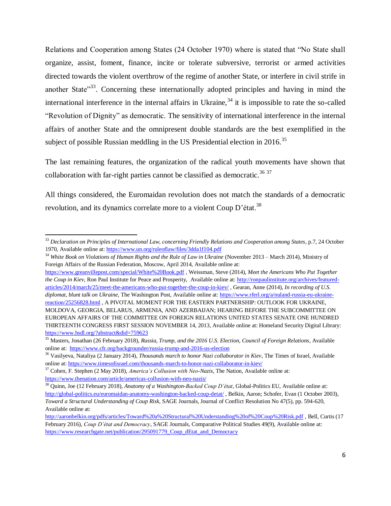Relations and Cooperation among States (24 October 1970) where is stated that "No State shall organize, assist, foment, finance, incite or tolerate subversive, terrorist or armed activities directed towards the violent overthrow of the regime of another State, or interfere in civil strife in another State<sup>"33</sup>. Concerning these internationally adopted principles and having in mind the international interference in the internal affairs in Ukraine,  $34$  it is impossible to rate the so-called "Revolution of Dignity" as democratic. The sensitivity of international interference in the internal affairs of another State and the omnipresent double standards are the best exemplified in the subject of possible Russian meddling in the US Presidential election in 2016.<sup>35</sup>

The last remaining features, the organization of the radical youth movements have shown that collaboration with far-right parties cannot be classified as democratic.<sup>36 37</sup>

All things considered, the Euromaidan revolution does not match the standards of a democratic revolution, and its dynamics correlate more to a violent Coup  $D'$  état.<sup>38</sup>

<https://www.greanvillepost.com/special/White%20Book.pdf> , Weissman, Steve (2014), *Meet the Americans Who Put Together the Coup in Kiev*, Ron Paul Institute for Peace and Prosperity, Available online at: [http://ronpaulinstitute.org/archives/featured](http://ronpaulinstitute.org/archives/featured-articles/2014/march/25/meet-the-americans-who-put-together-the-coup-in-kiev/)[articles/2014/march/25/meet-the-americans-who-put-together-the-coup-in-kiev/](http://ronpaulinstitute.org/archives/featured-articles/2014/march/25/meet-the-americans-who-put-together-the-coup-in-kiev/) , Gearan, Anne (2014), *In recording of U.S. diplomat, blunt talk on Ukraine,* The Washington Post, Available online at[: https://www.rferl.org/a/nuland-russia-eu-ukraine](https://www.rferl.org/a/nuland-russia-eu-ukraine-reaction/25256828.html)[reaction/25256828.html](https://www.rferl.org/a/nuland-russia-eu-ukraine-reaction/25256828.html) , A PIVOTAL MOMENT FOR THE EASTERN PARTNERSHIP: OUTLOOK FOR UKRAINE, MOLDOVA, GEORGIA, BELARUS, ARMENIA, AND AZERBAIJAN; HEARING BEFORE THE SUBCOMMITTEE ON EUROPEAN AFFAIRS OF THE COMMITTEE ON FOREIGN RELATIONS UNITED STATES SENATE ONE HUNDRED THIRTEENTH CONGRESS FIRST SESSION NOVEMBER 14, 2013, Available online at: Homeland Security Digital Library: <https://www.hsdl.org/?abstract&did=759623>

 $\overline{a}$ <sup>33</sup> *Declaration on Principles of International Law, concerning Friendly Relations and Cooperation among States*, p.7, 24 October 1970, Available online at[: https://www.un.org/ruleoflaw/files/3dda1f104.pdf](https://www.un.org/ruleoflaw/files/3dda1f104.pdf)

<sup>34</sup> *White Book on Violations of Human Rights and the Rule of Law in Ukraine* (November 2013 – March 2014), Ministry of Foreign Affairs of the Russian Federation, Moscow, April 2014, Available online at:

<sup>35</sup> Masters, Jonathan (26 February 2018), *Russia, Trump, and the 2016 U.S. Election, Council of Foreign Relations*, Available online at: <https://www.cfr.org/backgrounder/russia-trump-and-2016-us-election>

<sup>36</sup> Vasilyeva, Nataliya (2 January 2014), *Thousands march to honor Nazi collaborator in Kiev*, The Times of Israel, Available online at:<https://www.timesofisrael.com/thousands-march-to-honor-nazi-collaborator-in-kiev/>

<sup>37</sup> Cohen, F. Stephen (2 May 2018), *America"s Collusion with Neo-Nazis*, The Nation, Available online at: <https://www.thenation.com/article/americas-collusion-with-neo-nazis/>

<sup>38</sup> Quinn, Joe (12 February 2018), *Anatomy of a Washington-Backed Coup D"état*, Global-Politics EU, Available online at: <http://global-politics.eu/euromaidan-anatomy-washington-backed-coup-detat/>, Belkin, Aaron; Schofer, Evan (1 October 2003), *Toward a Structural Understanding of Coup Risk*, SAGE Journals, Journal of Conflict Resolution No 47(5), pp. 594-620, Available online at:

<http://aaronbelkin.org/pdfs/articles/Toward%20a%20Structural%20Understanding%20of%20Coup%20Risk.pdf> , Bell, Curtis (17 February 2016), *Coup D"état and Democracy*, SAGE Journals, Comparative Political Studies 49(9), Available online at: [https://www.researchgate.net/publication/295091779\\_Coup\\_dEtat\\_and\\_Democracy](https://www.researchgate.net/publication/295091779_Coup_dEtat_and_Democracy)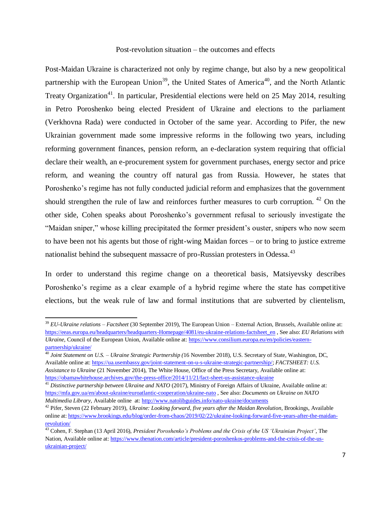#### Post-revolution situation – the outcomes and effects

Post-Maidan Ukraine is characterized not only by regime change, but also by a new geopolitical partnership with the European Union<sup>39</sup>, the United States of America<sup>40</sup>, and the North Atlantic Treaty Organization<sup>41</sup>. In particular, Presidential elections were held on 25 May 2014, resulting in Petro Poroshenko being elected President of Ukraine and elections to the parliament (Verkhovna Rada) were conducted in October of the same year. According to Pifer, the new Ukrainian government made some impressive reforms in the following two years, including reforming government finances, pension reform, an e-declaration system requiring that official declare their wealth, an e-procurement system for government purchases, energy sector and price reform, and weaning the country off natural gas from Russia. However, he states that Poroshenko's regime has not fully conducted judicial reform and emphasizes that the government should strengthen the rule of law and reinforces further measures to curb corruption.  $42$  On the other side, Cohen speaks about Poroshenko"s government refusal to seriously investigate the "Maidan sniper," whose killing precipitated the former president's ouster, snipers who now seem to have been not his agents but those of right-wing Maidan forces – or to bring to justice extreme nationalist behind the subsequent massacre of pro-Russian protesters in Odessa.<sup>43</sup>

In order to understand this regime change on a theoretical basis, Matsiyevsky describes Poroshenko's regime as a clear example of a hybrid regime where the state has competitive elections, but the weak rule of law and formal institutions that are subverted by clientelism,

 $\ddot{\phantom{a}}$ 

<sup>39</sup> *EU-Ukraine relations – Factsheet* (30 September 2019), The European Union – External Action, Brussels, Available online at: [https://eeas.europa.eu/headquarters/headquarters-Homepage/4081/eu-ukraine-relations-factsheet\\_en](https://eeas.europa.eu/headquarters/headquarters-Homepage/4081/eu-ukraine-relations-factsheet_en) , See also: *EU Relations with Ukraine*, Council of the European Union, Available online at[: https://www.consilium.europa.eu/en/policies/eastern](https://www.consilium.europa.eu/en/policies/eastern-partnership/ukraine/)[partnership/ukraine/](https://www.consilium.europa.eu/en/policies/eastern-partnership/ukraine/)

<sup>40</sup> *Joint Statement on U.S. – Ukraine Strategic Partnership (*16 November 2018), U.S. Secretary of State, Washington, DC, Available online at: [https://ua.usembassy.gov/joint-statement-on-u-s-ukraine-strategic-partnership/;](https://ua.usembassy.gov/joint-statement-on-u-s-ukraine-strategic-partnership/) *FACTSHEET: U.S. Assistance to Ukraine* (21 November 2014), The White House, Office of the Press Secretary, Available online at: <https://obamawhitehouse.archives.gov/the-press-office/2014/11/21/fact-sheet-us-assistance-ukraine>

<sup>&</sup>lt;sup>41</sup> Distinctive partnership between Ukraine and NATO (2017), Ministry of Foreign Affairs of Ukraine, Available online at: <https://mfa.gov.ua/en/about-ukraine/euroatlantic-cooperation/ukraine-nato> , See also: *Documents on Ukraine on NATO Multimedia Library*, Available online at:<http://www.natolibguides.info/nato-ukraine/documents>

<sup>42</sup> Pifer, Steven (22 February 2019), *Ukraine: Looking forward, five years after the Maidan Revolution*, Brookings, Available online at: [https://www.brookings.edu/blog/order-from-chaos/2019/02/22/ukraine-looking-forward-five-years-after-the-maidan](https://www.brookings.edu/blog/order-from-chaos/2019/02/22/ukraine-looking-forward-five-years-after-the-maidan-revolution/)[revolution/](https://www.brookings.edu/blog/order-from-chaos/2019/02/22/ukraine-looking-forward-five-years-after-the-maidan-revolution/)

<sup>43</sup> Cohen, F. Stephan (13 April 2016), *President Poroshenko"s Problems and the Crisis of the US "Ukrainian Project"*, The Nation, Available online at: [https://www.thenation.com/article/president-poroshenkos-problems-and-the-crisis-of-the-us](https://www.thenation.com/article/president-poroshenkos-problems-and-the-crisis-of-the-us-ukrainian-project/)[ukrainian-project/](https://www.thenation.com/article/president-poroshenkos-problems-and-the-crisis-of-the-us-ukrainian-project/)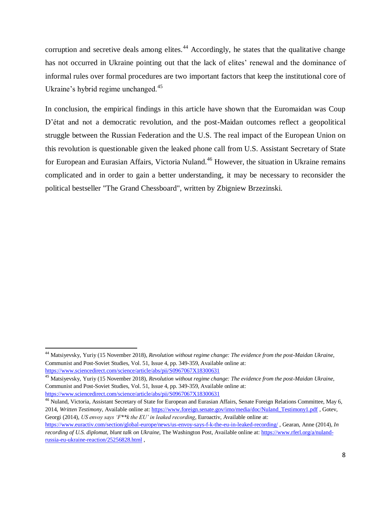corruption and secretive deals among elites.<sup>44</sup> Accordingly, he states that the qualitative change has not occurred in Ukraine pointing out that the lack of elites' renewal and the dominance of informal rules over formal procedures are two important factors that keep the institutional core of Ukraine's hybrid regime unchanged.<sup>45</sup>

In conclusion, the empirical findings in this article have shown that the Euromaidan was Coup D"état and not a democratic revolution, and the post-Maidan outcomes reflect a geopolitical struggle between the Russian Federation and the U.S. The real impact of the European Union on this revolution is questionable given the leaked phone call from U.S. Assistant Secretary of State for European and Eurasian Affairs, Victoria Nuland.<sup>46</sup> However, the situation in Ukraine remains complicated and in order to gain a better understanding, it may be necessary to reconsider the political bestseller "The Grand Chessboard", written by Zbigniew Brzezinski.

 $\ddot{\phantom{a}}$ 

<sup>44</sup> Matsiyevsky, Yuriy (15 November 2018), *Revolution without regime change: The evidence from the post-Maidan Ukraine*, Communist and Post-Soviet Studies, Vol. 51, Issue 4, pp. 349-359, Available online at: <https://www.sciencedirect.com/science/article/abs/pii/S0967067X18300631>

<sup>45</sup> Matsiyevsky, Yuriy (15 November 2018), *Revolution without regime change: The evidence from the post-Maidan Ukraine*, Communist and Post-Soviet Studies, Vol. 51, Issue 4, pp. 349-359, Available online at: <https://www.sciencedirect.com/science/article/abs/pii/S0967067X18300631>

<sup>&</sup>lt;sup>46</sup> Nuland. Victoria, Assistant Secretary of State for European and Eurasian Affairs, Senate Foreign Relations Committee, May 6, 2014, *Written Testimony*, Available online at[: https://www.foreign.senate.gov/imo/media/doc/Nuland\\_Testimony1.pdf](https://www.foreign.senate.gov/imo/media/doc/Nuland_Testimony1.pdf) , Gotev, Georgi (2014), *US envoy says "F\*\*k the EU" in leaked recording*, Euroactiv, Available online at:

<https://www.euractiv.com/section/global-europe/news/us-envoy-says-f-k-the-eu-in-leaked-recording/> , Gearan, Anne (2014), *In recording of U.S. diplomat, blunt talk on Ukraine,* The Washington Post, Available online at[: https://www.rferl.org/a/nuland](https://www.rferl.org/a/nuland-russia-eu-ukraine-reaction/25256828.html)[russia-eu-ukraine-reaction/25256828.html](https://www.rferl.org/a/nuland-russia-eu-ukraine-reaction/25256828.html) ,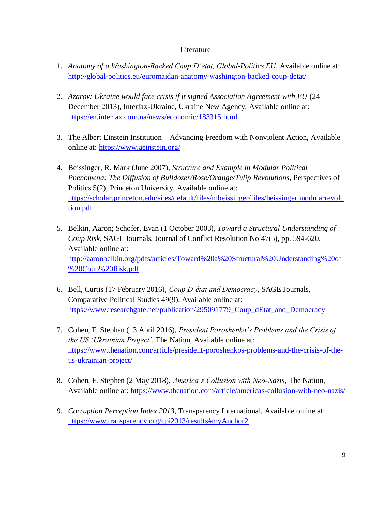## Literature

- 1. *Anatomy of a Washington-Backed Coup D"état, Global-Politics EU*, Available online at: <http://global-politics.eu/euromaidan-anatomy-washington-backed-coup-detat/>
- 2. *Azarov: Ukraine would face crisis if it signed Association Agreement with EU* (24 December 2013), Interfax-Ukraine, Ukraine New Agency, Available online at: <https://en.interfax.com.ua/news/economic/183315.html>
- 3. The Albert Einstein Institution Advancing Freedom with Nonviolent Action, Available online at:<https://www.aeinstein.org/>
- 4. Beissinger, R. Mark (June 2007), *Structure and Example in Modular Political Phenomena: The Diffusion of Bulldozer/Rose/Orange/Tulip Revolutions*, Perspectives of Politics 5(2), Princeton University, Available online at: [https://scholar.princeton.edu/sites/default/files/mbeissinger/files/beissinger.modularrevolu](https://scholar.princeton.edu/sites/default/files/mbeissinger/files/beissinger.modularrevolution.pdf) [tion.pdf](https://scholar.princeton.edu/sites/default/files/mbeissinger/files/beissinger.modularrevolution.pdf)
- 5. Belkin, Aaron; Schofer, Evan (1 October 2003), *Toward a Structural Understanding of Coup Risk*, SAGE Journals, Journal of Conflict Resolution No 47(5), pp. 594-620, Available online at: [http://aaronbelkin.org/pdfs/articles/Toward%20a%20Structural%20Understanding%20of](http://aaronbelkin.org/pdfs/articles/Toward%20a%20Structural%20Understanding%20of%20Coup%20Risk.pdf) [%20Coup%20Risk.pdf](http://aaronbelkin.org/pdfs/articles/Toward%20a%20Structural%20Understanding%20of%20Coup%20Risk.pdf)
- 6. Bell, Curtis (17 February 2016), *Coup D"état and Democracy*, SAGE Journals, Comparative Political Studies 49(9), Available online at: [https://www.researchgate.net/publication/295091779\\_Coup\\_dEtat\\_and\\_Democracy](https://www.researchgate.net/publication/295091779_Coup_dEtat_and_Democracy)
- 7. Cohen, F. Stephan (13 April 2016), *President Poroshenko"s Problems and the Crisis of the US "Ukrainian Project"*, The Nation, Available online at: [https://www.thenation.com/article/president-poroshenkos-problems-and-the-crisis-of-the](https://www.thenation.com/article/president-poroshenkos-problems-and-the-crisis-of-the-us-ukrainian-project/)[us-ukrainian-project/](https://www.thenation.com/article/president-poroshenkos-problems-and-the-crisis-of-the-us-ukrainian-project/)
- 8. Cohen, F. Stephen (2 May 2018), *America"s Collusion with Neo-Nazis*, The Nation, Available online at:<https://www.thenation.com/article/americas-collusion-with-neo-nazis/>
- 9. *Corruption Perception Index 2013*, Transparency International, Available online at: <https://www.transparency.org/cpi2013/results#myAnchor2>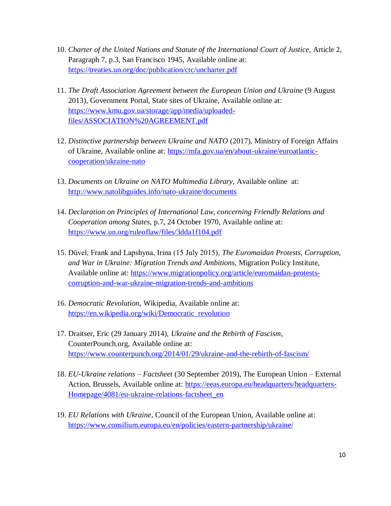- 10. *Charter of the United Nations and Statute of the International Court of Justice*, Article 2, Paragraph 7, p.3, San Francisco 1945, Available online at: <https://treaties.un.org/doc/publication/ctc/uncharter.pdf>
- 11. *The Draft Association Agreement between the European Union and Ukraine* (9 August 2013), Government Portal, State sites of Ukraine, Available online at: [https://www.kmu.gov.ua/storage/app/media/uploaded](https://www.kmu.gov.ua/storage/app/media/uploaded-files/ASSOCIATION%20AGREEMENT.pdf)[files/ASSOCIATION%20AGREEMENT.pdf](https://www.kmu.gov.ua/storage/app/media/uploaded-files/ASSOCIATION%20AGREEMENT.pdf)
- 12. *Distinctive partnership between Ukraine and NATO* (2017), Ministry of Foreign Affairs of Ukraine, Available online at: [https://mfa.gov.ua/en/about-ukraine/euroatlantic](https://mfa.gov.ua/en/about-ukraine/euroatlantic-cooperation/ukraine-nato)[cooperation/ukraine-nato](https://mfa.gov.ua/en/about-ukraine/euroatlantic-cooperation/ukraine-nato)
- 13. *Documents on Ukraine on NATO Multimedia Library*, Available online at: <http://www.natolibguides.info/nato-ukraine/documents>
- 14. *Declaration on Principles of International Law, concerning Friendly Relations and Cooperation among States*, p.7, 24 October 1970, Available online at: <https://www.un.org/ruleoflaw/files/3dda1f104.pdf>
- 15. Düvel, Frank and Lapshyna, Irina (15 July 2015), *The Euromaidan Protests, Corruption, and War in Ukraine: Migration Trends and Ambitions*, Migration Policy Institute, Available online at: [https://www.migrationpolicy.org/article/euromaidan-protests](https://www.migrationpolicy.org/article/euromaidan-protests-corruption-and-war-ukraine-migration-trends-and-ambitions)[corruption-and-war-ukraine-migration-trends-and-ambitions](https://www.migrationpolicy.org/article/euromaidan-protests-corruption-and-war-ukraine-migration-trends-and-ambitions)
- 16. *Democratic Revolution*, Wikipedia, Available online at: [https://en.wikipedia.org/wiki/Democratic\\_revolution](https://en.wikipedia.org/wiki/Democratic_revolution)
- 17. Draitser, Eric (29 January 2014), *Ukraine and the Rebirth of Fascism*, CounterPounch.org, Available online at: <https://www.counterpunch.org/2014/01/29/ukraine-and-the-rebirth-of-fascism/>
- 18. *EU-Ukraine relations – Factsheet* (30 September 2019), The European Union External Action, Brussels, Available online at: [https://eeas.europa.eu/headquarters/headquarters-](https://eeas.europa.eu/headquarters/headquarters-Homepage/4081/eu-ukraine-relations-factsheet_en)[Homepage/4081/eu-ukraine-relations-factsheet\\_en](https://eeas.europa.eu/headquarters/headquarters-Homepage/4081/eu-ukraine-relations-factsheet_en)
- 19. *EU Relations with Ukraine*, Council of the European Union, Available online at: <https://www.consilium.europa.eu/en/policies/eastern-partnership/ukraine/>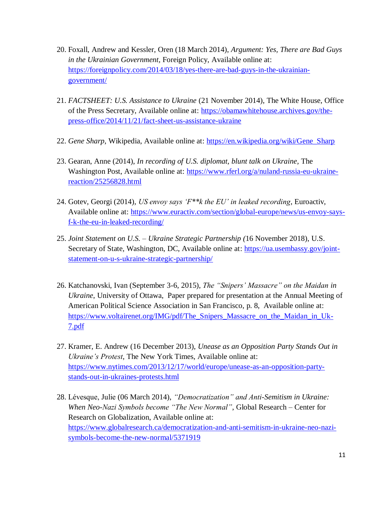- 20. Foxall, Andrew and Kessler, Oren (18 March 2014), *Argument: Yes, There are Bad Guys in the Ukrainian Government*, Foreign Policy, Available online at: [https://foreignpolicy.com/2014/03/18/yes-there-are-bad-guys-in-the-ukrainian](https://foreignpolicy.com/2014/03/18/yes-there-are-bad-guys-in-the-ukrainian-government/)[government/](https://foreignpolicy.com/2014/03/18/yes-there-are-bad-guys-in-the-ukrainian-government/)
- 21. *FACTSHEET: U.S. Assistance to Ukraine* (21 November 2014), The White House, Office of the Press Secretary, Available online at: [https://obamawhitehouse.archives.gov/the](https://obamawhitehouse.archives.gov/the-press-office/2014/11/21/fact-sheet-us-assistance-ukraine)[press-office/2014/11/21/fact-sheet-us-assistance-ukraine](https://obamawhitehouse.archives.gov/the-press-office/2014/11/21/fact-sheet-us-assistance-ukraine)
- 22. *Gene Sharp*, Wikipedia, Available online at: [https://en.wikipedia.org/wiki/Gene\\_Sharp](https://en.wikipedia.org/wiki/Gene_Sharp)
- 23. Gearan, Anne (2014), *In recording of U.S. diplomat, blunt talk on Ukraine,* The Washington Post, Available online at: [https://www.rferl.org/a/nuland-russia-eu-ukraine](https://www.rferl.org/a/nuland-russia-eu-ukraine-reaction/25256828.html)[reaction/25256828.html](https://www.rferl.org/a/nuland-russia-eu-ukraine-reaction/25256828.html)
- 24. Gotev, Georgi (2014), *US envoy says "F\*\*k the EU" in leaked recording*, Euroactiv, Available online at: [https://www.euractiv.com/section/global-europe/news/us-envoy-says](https://www.euractiv.com/section/global-europe/news/us-envoy-says-f-k-the-eu-in-leaked-recording/)[f-k-the-eu-in-leaked-recording/](https://www.euractiv.com/section/global-europe/news/us-envoy-says-f-k-the-eu-in-leaked-recording/)
- 25. *Joint Statement on U.S. – Ukraine Strategic Partnership (*16 November 2018), U.S. Secretary of State, Washington, DC, Available online at: [https://ua.usembassy.gov/joint](https://ua.usembassy.gov/joint-statement-on-u-s-ukraine-strategic-partnership/)[statement-on-u-s-ukraine-strategic-partnership/](https://ua.usembassy.gov/joint-statement-on-u-s-ukraine-strategic-partnership/)
- 26. Katchanovski, Ivan (September 3-6, 2015), *The "Snipers" Massacre" on the Maidan in Ukraine*, University of Ottawa, Paper prepared for presentation at the Annual Meeting of American Political Science Association in San Francisco, p. 8, Available online at: [https://www.voltairenet.org/IMG/pdf/The\\_Snipers\\_Massacre\\_on\\_the\\_Maidan\\_in\\_Uk-](https://www.voltairenet.org/IMG/pdf/The_Snipers_Massacre_on_the_Maidan_in_Uk-7.pdf)[7.pdf](https://www.voltairenet.org/IMG/pdf/The_Snipers_Massacre_on_the_Maidan_in_Uk-7.pdf)
- 27. Kramer, E. Andrew (16 December 2013), *Unease as an Opposition Party Stands Out in Ukraine"s Protest*, The New York Times, Available online at: [https://www.nytimes.com/2013/12/17/world/europe/unease-as-an-opposition-party](https://www.nytimes.com/2013/12/17/world/europe/unease-as-an-opposition-party-stands-out-in-ukraines-protests.html)[stands-out-in-ukraines-protests.html](https://www.nytimes.com/2013/12/17/world/europe/unease-as-an-opposition-party-stands-out-in-ukraines-protests.html)
- 28. Lévesque, Julie (06 March 2014), *"Democratization" and Anti-Semitism in Ukraine: When Neo-Nazi Symbols become "The New Normal"*, Global Research – Center for Research on Globalization, Available online at: [https://www.globalresearch.ca/democratization-and-anti-semitism-in-ukraine-neo-nazi](https://www.globalresearch.ca/democratization-and-anti-semitism-in-ukraine-neo-nazi-symbols-become-the-new-normal/5371919)[symbols-become-the-new-normal/5371919](https://www.globalresearch.ca/democratization-and-anti-semitism-in-ukraine-neo-nazi-symbols-become-the-new-normal/5371919)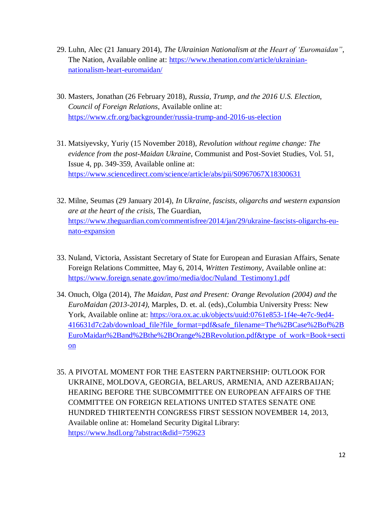- 29. Luhn, Alec (21 January 2014), *The Ukrainian Nationalism at the Heart of "Euromaidan"*, The Nation, Available online at: [https://www.thenation.com/article/ukrainian](https://www.thenation.com/article/ukrainian-nationalism-heart-euromaidan/)[nationalism-heart-euromaidan/](https://www.thenation.com/article/ukrainian-nationalism-heart-euromaidan/)
- 30. Masters, Jonathan (26 February 2018), *Russia, Trump, and the 2016 U.S. Election, Council of Foreign Relations*, Available online at: <https://www.cfr.org/backgrounder/russia-trump-and-2016-us-election>
- 31. Matsiyevsky, Yuriy (15 November 2018), *Revolution without regime change: The evidence from the post-Maidan Ukraine*, Communist and Post-Soviet Studies, Vol. 51, Issue 4, pp. 349-359, Available online at: <https://www.sciencedirect.com/science/article/abs/pii/S0967067X18300631>
- 32. Milne, Seumas (29 January 2014), *In Ukraine, fascists, oligarchs and western expansion are at the heart of the crisis*, The Guardian, [https://www.theguardian.com/commentisfree/2014/jan/29/ukraine-fascists-oligarchs-eu](https://www.theguardian.com/commentisfree/2014/jan/29/ukraine-fascists-oligarchs-eu-nato-expansion)[nato-expansion](https://www.theguardian.com/commentisfree/2014/jan/29/ukraine-fascists-oligarchs-eu-nato-expansion)
- 33. Nuland, Victoria, Assistant Secretary of State for European and Eurasian Affairs, Senate Foreign Relations Committee, May 6, 2014, *Written Testimony*, Available online at: [https://www.foreign.senate.gov/imo/media/doc/Nuland\\_Testimony1.pdf](https://www.foreign.senate.gov/imo/media/doc/Nuland_Testimony1.pdf)
- 34. Onuch, Olga (2014), *The Maidan, Past and Present: Orange Revolution (2004) and the EuroMaidan (2013-2014)*, Marples, D. et. al. (eds).,Columbia University Press: New York, Available online at: [https://ora.ox.ac.uk/objects/uuid:0761e853-1f4e-4e7c-9ed4-](https://ora.ox.ac.uk/objects/uuid:0761e853-1f4e-4e7c-9ed4-416631d7c2ab/download_file?file_format=pdf&safe_filename=The%2BCase%2Bof%2BEuroMaidan%2Band%2Bthe%2BOrange%2BRevolution.pdf&type_of_work=Book+section) [416631d7c2ab/download\\_file?file\\_format=pdf&safe\\_filename=The%2BCase%2Bof%2B](https://ora.ox.ac.uk/objects/uuid:0761e853-1f4e-4e7c-9ed4-416631d7c2ab/download_file?file_format=pdf&safe_filename=The%2BCase%2Bof%2BEuroMaidan%2Band%2Bthe%2BOrange%2BRevolution.pdf&type_of_work=Book+section) [EuroMaidan%2Band%2Bthe%2BOrange%2BRevolution.pdf&type\\_of\\_work=Book+secti](https://ora.ox.ac.uk/objects/uuid:0761e853-1f4e-4e7c-9ed4-416631d7c2ab/download_file?file_format=pdf&safe_filename=The%2BCase%2Bof%2BEuroMaidan%2Band%2Bthe%2BOrange%2BRevolution.pdf&type_of_work=Book+section) [on](https://ora.ox.ac.uk/objects/uuid:0761e853-1f4e-4e7c-9ed4-416631d7c2ab/download_file?file_format=pdf&safe_filename=The%2BCase%2Bof%2BEuroMaidan%2Band%2Bthe%2BOrange%2BRevolution.pdf&type_of_work=Book+section)
- 35. A PIVOTAL MOMENT FOR THE EASTERN PARTNERSHIP: OUTLOOK FOR UKRAINE, MOLDOVA, GEORGIA, BELARUS, ARMENIA, AND AZERBAIJAN; HEARING BEFORE THE SUBCOMMITTEE ON EUROPEAN AFFAIRS OF THE COMMITTEE ON FOREIGN RELATIONS UNITED STATES SENATE ONE HUNDRED THIRTEENTH CONGRESS FIRST SESSION NOVEMBER 14, 2013, Available online at: Homeland Security Digital Library: <https://www.hsdl.org/?abstract&did=759623>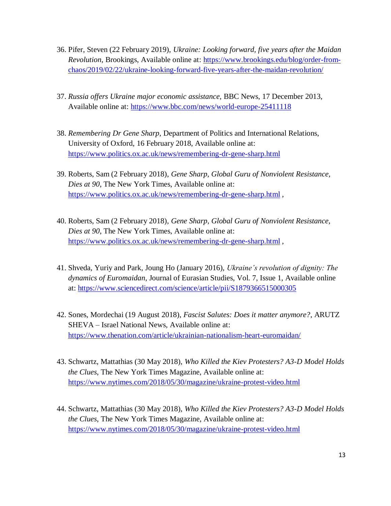- 36. Pifer, Steven (22 February 2019), *Ukraine: Looking forward, five years after the Maidan Revolution*, Brookings, Available online at: [https://www.brookings.edu/blog/order-from](https://www.brookings.edu/blog/order-from-chaos/2019/02/22/ukraine-looking-forward-five-years-after-the-maidan-revolution/)[chaos/2019/02/22/ukraine-looking-forward-five-years-after-the-maidan-revolution/](https://www.brookings.edu/blog/order-from-chaos/2019/02/22/ukraine-looking-forward-five-years-after-the-maidan-revolution/)
- 37. *Russia offers Ukraine major economic assistance,* BBC News, 17 December 2013, Available online at:<https://www.bbc.com/news/world-europe-25411118>
- 38. *Remembering Dr Gene Sharp*, Department of Politics and International Relations, University of Oxford, 16 February 2018, Available online at: <https://www.politics.ox.ac.uk/news/remembering-dr-gene-sharp.html>
- 39. Roberts, Sam (2 February 2018), *Gene Sharp, Global Guru of Nonviolent Resistance, Dies at 90*, The New York Times, Available online at: <https://www.politics.ox.ac.uk/news/remembering-dr-gene-sharp.html> ,
- 40. Roberts, Sam (2 February 2018), *Gene Sharp, Global Guru of Nonviolent Resistance, Dies at 90*, The New York Times, Available online at: <https://www.politics.ox.ac.uk/news/remembering-dr-gene-sharp.html> ,
- 41. Shveda, Yuriy and Park, Joung Ho (January 2016), *Ukraine"s revolution of dignity: The dynamics of Euromaidan*, Journal of Eurasian Studies, Vol. 7, Issue 1, Available online at:<https://www.sciencedirect.com/science/article/pii/S1879366515000305>
- 42. Sones, Mordechai (19 August 2018), *Fascist Salutes: Does it matter anymore?*, ARUTZ SHEVA – Israel National News, Available online at: <https://www.thenation.com/article/ukrainian-nationalism-heart-euromaidan/>
- 43. Schwartz, Mattathias (30 May 2018), *Who Killed the Kiev Protesters? A3-D Model Holds the Clues*, The New York Times Magazine, Available online at: <https://www.nytimes.com/2018/05/30/magazine/ukraine-protest-video.html>
- 44. Schwartz, Mattathias (30 May 2018), *Who Killed the Kiev Protesters? A3-D Model Holds the Clues*, The New York Times Magazine, Available online at: <https://www.nytimes.com/2018/05/30/magazine/ukraine-protest-video.html>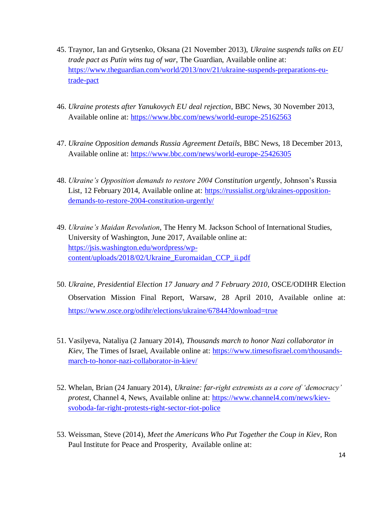- 45. Traynor, Ian and Grytsenko, Oksana (21 November 2013), *Ukraine suspends talks on EU trade pact as Putin wins tug of war*, The Guardian, Available online at: [https://www.theguardian.com/world/2013/nov/21/ukraine-suspends-preparations-eu](https://www.theguardian.com/world/2013/nov/21/ukraine-suspends-preparations-eu-trade-pact)[trade-pact](https://www.theguardian.com/world/2013/nov/21/ukraine-suspends-preparations-eu-trade-pact)
- 46. *Ukraine protests after Yanukovych EU deal rejection*, BBC News, 30 November 2013, Available online at:<https://www.bbc.com/news/world-europe-25162563>
- 47. *Ukraine Opposition demands Russia Agreement Details*, BBC News, 18 December 2013, Available online at:<https://www.bbc.com/news/world-europe-25426305>
- 48. *Ukraine"s Opposition demands to restore 2004 Constitution urgently*, Johnson"s Russia List, 12 February 2014, Available online at: [https://russialist.org/ukraines-opposition](https://russialist.org/ukraines-opposition-demands-to-restore-2004-constitution-urgently/)[demands-to-restore-2004-constitution-urgently/](https://russialist.org/ukraines-opposition-demands-to-restore-2004-constitution-urgently/)
- 49. *Ukraine"s Maidan Revolution*, The Henry M. Jackson School of International Studies, University of Washington, June 2017, Available online at: [https://jsis.washington.edu/wordpress/wp](https://jsis.washington.edu/wordpress/wp-content/uploads/2018/02/Ukraine_Euromaidan_CCP_ii.pdf)[content/uploads/2018/02/Ukraine\\_Euromaidan\\_CCP\\_ii.pdf](https://jsis.washington.edu/wordpress/wp-content/uploads/2018/02/Ukraine_Euromaidan_CCP_ii.pdf)
- 50. *Ukraine, Presidential Election 17 January and 7 February 2010*, OSCE/ODIHR Election Observation Mission Final Report, Warsaw, 28 April 2010, Available online at: <https://www.osce.org/odihr/elections/ukraine/67844?download=true>
- 51. Vasilyeva, Nataliya (2 January 2014), *Thousands march to honor Nazi collaborator in Kiev*, The Times of Israel, Available online at: [https://www.timesofisrael.com/thousands](https://www.timesofisrael.com/thousands-march-to-honor-nazi-collaborator-in-kiev/)[march-to-honor-nazi-collaborator-in-kiev/](https://www.timesofisrael.com/thousands-march-to-honor-nazi-collaborator-in-kiev/)
- 52. Whelan, Brian (24 January 2014), *Ukraine: far-right extremists as a core of "democracy" protest*, Channel 4, News, Available online at: [https://www.channel4.com/news/kiev](https://www.channel4.com/news/kiev-svoboda-far-right-protests-right-sector-riot-police)[svoboda-far-right-protests-right-sector-riot-police](https://www.channel4.com/news/kiev-svoboda-far-right-protests-right-sector-riot-police)
- 53. Weissman, Steve (2014), *Meet the Americans Who Put Together the Coup in Kiev*, Ron Paul Institute for Peace and Prosperity, Available online at: